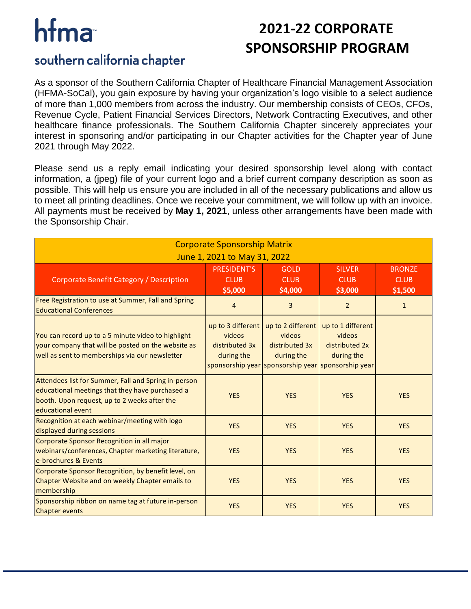# hfma

## **2021-22 CORPORATE SPONSORSHIP PROGRAM**

#### southern california chapter

As a sponsor of the Southern California Chapter of Healthcare Financial Management Association (HFMA-SoCal), you gain exposure by having your organization's logo visible to a select audience of more than 1,000 members from across the industry. Our membership consists of CEOs, CFOs, Revenue Cycle, Patient Financial Services Directors, Network Contracting Executives, and other healthcare finance professionals. The Southern California Chapter sincerely appreciates your interest in sponsoring and/or participating in our Chapter activities for the Chapter year of June 2021 through May 2022.

Please send us a reply email indicating your desired sponsorship level along with contact information, a (jpeg) file of your current logo and a brief current company description as soon as possible. This will help us ensure you are included in all of the necessary publications and allow us to meet all printing deadlines. Once we receive your commitment, we will follow up with an invoice. All payments must be received by **May 1, 2021**, unless other arrangements have been made with the Sponsorship Chair.

| <b>Corporate Sponsorship Matrix</b>                                                                                                                                          |                                                             |                                                             |                                                                                                                   |                                         |
|------------------------------------------------------------------------------------------------------------------------------------------------------------------------------|-------------------------------------------------------------|-------------------------------------------------------------|-------------------------------------------------------------------------------------------------------------------|-----------------------------------------|
| June 1, 2021 to May 31, 2022                                                                                                                                                 |                                                             |                                                             |                                                                                                                   |                                         |
| Corporate Benefit Category / Description                                                                                                                                     | <b>PRESIDENT'S</b><br><b>CLUB</b><br>\$5,000                | <b>GOLD</b><br><b>CLUB</b><br>\$4,000                       | <b>SILVER</b><br><b>CLUB</b><br>\$3,000                                                                           | <b>BRONZE</b><br><b>CLUB</b><br>\$1,500 |
| Free Registration to use at Summer, Fall and Spring<br><b>Educational Conferences</b>                                                                                        | 4                                                           | 3                                                           | $\overline{2}$                                                                                                    | $\mathbf{1}$                            |
| You can record up to a 5 minute video to highlight<br>your company that will be posted on the website as<br>well as sent to memberships via our newsletter                   | up to 3 different<br>videos<br>distributed 3x<br>during the | up to 2 different<br>videos<br>distributed 3x<br>during the | up to 1 different<br>videos<br>distributed 2x<br>during the<br>sponsorship year sponsorship year sponsorship year |                                         |
| Attendees list for Summer, Fall and Spring in-person<br>educational meetings that they have purchased a<br>booth. Upon request, up to 2 weeks after the<br>educational event | <b>YES</b>                                                  | <b>YES</b>                                                  | <b>YES</b>                                                                                                        | <b>YES</b>                              |
| Recognition at each webinar/meeting with logo<br>displayed during sessions                                                                                                   | <b>YES</b>                                                  | <b>YES</b>                                                  | <b>YES</b>                                                                                                        | <b>YES</b>                              |
| Corporate Sponsor Recognition in all major<br>webinars/conferences, Chapter marketing literature,<br>e-brochures & Events                                                    | <b>YES</b>                                                  | <b>YES</b>                                                  | <b>YES</b>                                                                                                        | <b>YES</b>                              |
| Corporate Sponsor Recognition, by benefit level, on<br>Chapter Website and on weekly Chapter emails to<br>membership                                                         | <b>YES</b>                                                  | <b>YES</b>                                                  | <b>YES</b>                                                                                                        | <b>YES</b>                              |
| Sponsorship ribbon on name tag at future in-person<br><b>Chapter events</b>                                                                                                  | <b>YES</b>                                                  | <b>YES</b>                                                  | <b>YES</b>                                                                                                        | <b>YES</b>                              |